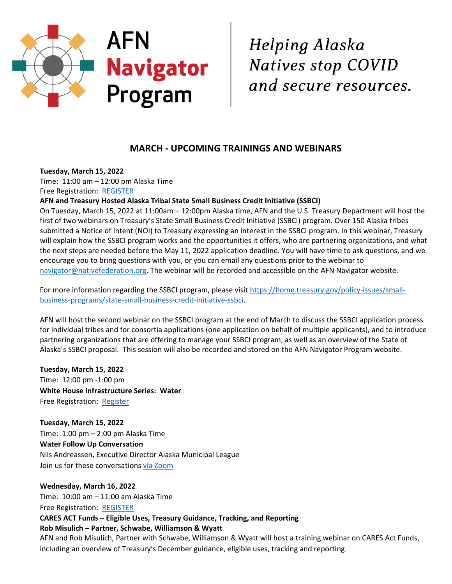

Helping Alaska Natives stop COVID and secure resources.

# **MARCH - UPCOMING TRAININGS AND WEBINARS**

**Tuesday, March 15, 2022**

Time: 11:00 am – 12:00 pm Alaska Time Free Registration: [REGISTER](https://spokeconsulting.zoom.us/meeting/register/tZUtcu2tpzguHtbsVRSITZxXUkaBe9T1dpXv)

**AFN and Treasury Hosted Alaska Tribal State Small Business Credit Initiative (SSBCI)**

On Tuesday, March 15, 2022 at 11:00am – 12:00pm Alaska time, AFN and the U.S. Treasury Department will host the first of two webinars on Treasury's State Small Business Credit Initiative (SSBCI) program. Over 150 Alaska tribes submitted a Notice of Intent (NOI) to Treasury expressing an interest in the SSBCI program. In this webinar, Treasury will explain how the SSBCI program works and the opportunities it offers, who are partnering organizations, and what the next steps are needed before the May 11, 2022 application deadline. You will have time to ask questions, and we encourage you to bring questions with you, or you can email any questions prior to the webinar to [navigator@nativefederation.org.](mailto:navigator@nativefederation.org) The webinar will be recorded and accessible on the AFN Navigator website.

For more information regarding the SSBCI program, please visi[t https://home.treasury.gov/policy-issues/small](https://home.treasury.gov/policy-issues/small-business-programs/state-small-business-credit-initiative-ssbci)[business-programs/state-small-business-credit-initiative-ssbci.](https://home.treasury.gov/policy-issues/small-business-programs/state-small-business-credit-initiative-ssbci)

AFN will host the second webinar on the SSBCI program at the end of March to discuss the SSBCI application process for individual tribes and for consortia applications (one application on behalf of multiple applicants), and to introduce partnering organizations that are offering to manage your SSBCI program, as well as an overview of the State of Alaska's SSBCI proposal. This session will also be recorded and stored on the AFN Navigator Program website.

**Tuesday, March 15, 2022** Time: 12:00 pm -1:00 pm **White House Infrastructure Series: Water** Free Registration: [Register](https://r20.rs6.net/tn.jsp?f=001lE6_dp9RRDWN9wQnPxW6-Yp38JPGLafodjHjJHWs5J-ZZpZ5hjqAGNKZFpOIOFSv1APG5KDMVXf51zXOeHBLWFLeU-IMOq44Pt6Xl5qmZD7ZHGLwA4uwBqEOuV9_DlzCU2TztR8S5iU3HXgHujn90AILt6mMY0g20eAJvk3QTlZnttYgIbuu0EPJkxPMJa_4A_Rorwk0JjvZ8bukN0M4ZpY25Hr14iFMp4TjXUpDgnnbUUlZ-3h3ThQAUPuGb-P2dtffw3mHWVUpqI7ZEeGbYVSgDDRbJ9Pmr0Mgzl0-7kM-m6NTBtgyVktD6p04Kwpqn8d3HhY2iXUadwCGGDLVcYfgGB2EokhGfXwcE3yr5JYwLL3uP4Wbrae_ccikYi89dYaS1-yvs3ER95JMwwV6EHTw38jXTg4G8yplSNgq1BSk_zkRe0aM7d2SRwOm1qa-knRp-yaoPkn3vvu28FLgDZuF4mQuD0_nedrtDBJEhaG724kyCrifVw59it50mJx_dg6azwmD0pKbng1jVFHtBAAiqZiKyraNnTvBoaElTzDsMeo6bLC9aza9cUjNEYhKMAYwhGdL64G-IT3kGThMfPClW1TuZ1VM2LhI3Yd7LhaMtyNiReyQz8mFSwZR40G9LuNQnU5uZchtKxbPiHQ8h_okThac03hatjUq87amIdd0k_TCrGL9_pyKojCDIz_x2nICyLTBzwFDcRa6Zrn8ITPGUG96U8XGJ18VUBRbRm0cLQVAE4zPDlDYhCLxT9xt88Q7IRfiDel1RAdfm-EQ_p3VbTq0bS2qPqBkjmwWzrtEqwaNaQIHWZYjf6QXCjDT&c=q1rS0sTN1KLv5EqwXbLZO60EhoKYO67ppbAeCPxebDo9dHKFcmFmqg==&ch=NmmeNasAPTNNKPtxI1UPJOxvu_1p8RmNlF47ZX1kquT7_R-04e2dfg==)

**Tuesday, March 15, 2022** Time: 1:00 pm – 2:00 pm Alaska Time **Water Follow Up Conversation**  Nils Andreassen, Executive Director Alaska Municipal League Join us for these conversations [via Zoom](https://r20.rs6.net/tn.jsp?f=0013hzXVDtMgQ3IKl-Tl_ToLH5pA8FVARCd-GYa8md6hhAFl5Yx2JvDgBnSK8qvJxO27ImJHNbIQ26NWHcgpdbOtB4sHoLK8mx5gfZNUkbM-zg2y0pvBbrMGeedDjKhPEvD7jEXOKYJNqn6YcrolkVCS6j4FMBZaR6Z&c=8Km7y-6CnPsZoVMeWtIjfZ_eEdQl9X1bYXn8wYJMEC1mpprB6ADZqQ==&ch=V0ayrTLSUPj4X2-nHTwddDbFW1vBwYXtsXh90yet9hPXhTW610b2UA==)

**Wednesday, March 16, 2022** Time: 10:00 am – 11:00 am Alaska Time Free Registration: [REGISTER](https://spokeconsulting.zoom.us/meeting/register/tZAkd-CrqzoqGdeQXI4uqinrNpoGXswG5eHk)

**CARES ACT Funds – Eligible Uses, Treasury Guidance, Tracking, and Reporting**

## **Rob Misulich – Partner, Schwabe, Williamson & Wyatt**

AFN and Rob Misulich, Partner with Schwabe, Williamson & Wyatt will host a training webinar on CARES Act Funds, including an overview of Treasury's December guidance, eligible uses, tracking and reporting.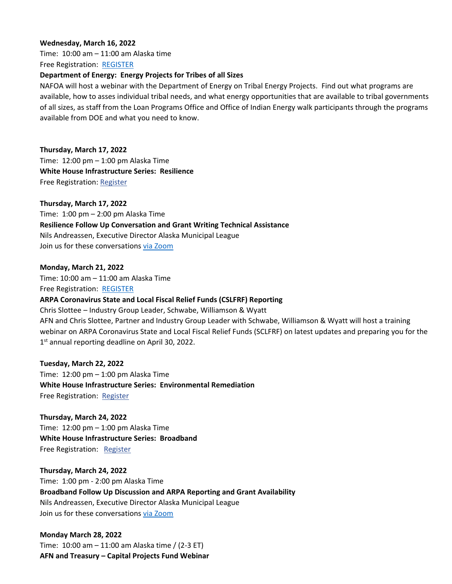#### **Wednesday, March 16, 2022**

Time: 10:00 am – 11:00 am Alaska time Free Registration: [REGISTER](https://nafoa.zoom.us/webinar/register/WN_AspVzP06TDqMk4gMDwTEsQ?utm_source=Nafoa+Mailing+List&utm_campaign=e9c8beecab-newsletter-3142022&utm_medium=email&utm_term=0_dcdb537bb2-e9c8beecab-92385088&ct=t(newsletter-3142022)&mc_cid=e9c8beecab&mc_eid=b506cc9a5f)

#### **Department of Energy: Energy Projects for Tribes of all Sizes**

NAFOA will host a webinar with the Department of Energy on Tribal Energy Projects. Find out what programs are available, how to asses individual tribal needs, and what energy opportunities that are available to tribal governments of all sizes, as staff from the Loan Programs Office and Office of Indian Energy walk participants through the programs available from DOE and what you need to know.

#### **Thursday, March 17, 2022**

Time: 12:00 pm – 1:00 pm Alaska Time **White House Infrastructure Series: Resilience** Free Registration: [Register](https://r20.rs6.net/tn.jsp?f=001lE6_dp9RRDWN9wQnPxW6-Yp38JPGLafodjHjJHWs5J-ZZpZ5hjqAGNKZFpOIOFSvB9FCmE9xB2IXjwv264p8dJQ4K_5NFK4LehtJZvf9EMFcAmjIXby61gnty4pQOaQLNpmUIYtDcl1KMAVmiH2yjZIWIAAxXWEsZ3ufAY2asFuUwO_iWWB9oY8Z_olpF7WLvFEAVDU7cUqurrhxcnHILAcjFRjh40jm1yLoYYVKGgwV_Iz_OdKxwL9Y9RMvPlp37phcsyoJT83t5UyXeBxk9a639J4L8JiWlERS4hja1WZ9in00vMb_pxowRwcLq9D_YwwVeq_hvlaIbtnbz9H5qZHXfTUl3JwNziZWdbVwrSugIiGY63fn0Hmh8fJeNAfDSb1Z9Px9XT8uR6tOMRdTDHoKwKBfHCIeYXQPXrSde6GkpBxprpjZL-bJIzo4BKsbqATpkkxCfStWZIqqaxanVwv6WbfigWpUryiKIf193Q14LAejLi9188Mo9mA94ap362k40K-xVTlPQCz_EI0ZC02TR93mUgBznLfa7VyUNhFwVRytTup-IsFzcE1PUAiQ9-zHx73BC8lvbSwk2I1rb3vnWGzVNgEOHvEkrw5h-V0Tx_277SNSUibewGJLt4MUxgFbXn-p2EeCii5xrSr7arR0xFHHw9fTwtjl_HgCde2TR068kRAkID7M5R7TJUthAdWjE-eK8n8Bi-E_bm1g5aJoa_QMZNOEQVyPxbNR-44C_OoDZGYBjcoN1wekix67tesdlXi1x8woq1Zui-0MPn0yjM6qqi-QzfLptDXR2c6ZWO1MrRSQkdONOJiwBhB9&c=q1rS0sTN1KLv5EqwXbLZO60EhoKYO67ppbAeCPxebDo9dHKFcmFmqg==&ch=NmmeNasAPTNNKPtxI1UPJOxvu_1p8RmNlF47ZX1kquT7_R-04e2dfg==)

#### **Thursday, March 17, 2022**

Time: 1:00 pm – 2:00 pm Alaska Time **Resilience Follow Up Conversation and Grant Writing Technical Assistance** Nils Andreassen, Executive Director Alaska Municipal League Join us for these conversations [via Zoom](https://r20.rs6.net/tn.jsp?f=0013hzXVDtMgQ3IKl-Tl_ToLH5pA8FVARCd-GYa8md6hhAFl5Yx2JvDgBnSK8qvJxO27ImJHNbIQ26NWHcgpdbOtB4sHoLK8mx5gfZNUkbM-zg2y0pvBbrMGeedDjKhPEvD7jEXOKYJNqn6YcrolkVCS6j4FMBZaR6Z&c=8Km7y-6CnPsZoVMeWtIjfZ_eEdQl9X1bYXn8wYJMEC1mpprB6ADZqQ==&ch=V0ayrTLSUPj4X2-nHTwddDbFW1vBwYXtsXh90yet9hPXhTW610b2UA==)

**Monday, March 21, 2022** Time: 10:00 am – 11:00 am Alaska Time Free Registration: [REGISTER](https://spokeconsulting.zoom.us/meeting/register/tZUpcuiurTojHNEm8LTeuDwMKZoJJbiXHAM2)

### **ARPA Coronavirus State and Local Fiscal Relief Funds (CSLFRF) Reporting**

Chris Slottee – Industry Group Leader, Schwabe, Williamson & Wyatt AFN and Chris Slottee, Partner and Industry Group Leader with Schwabe, Williamson & Wyatt will host a training webinar on ARPA Coronavirus State and Local Fiscal Relief Funds (SCLFRF) on latest updates and preparing you for the 1<sup>st</sup> annual reporting deadline on April 30, 2022.

#### **Tuesday, March 22, 2022**

Time: 12:00 pm – 1:00 pm Alaska Time **White House Infrastructure Series: Environmental Remediation** Free Registration: [Register](https://r20.rs6.net/tn.jsp?f=001lE6_dp9RRDWN9wQnPxW6-Yp38JPGLafodjHjJHWs5J-ZZpZ5hjqAGNKZFpOIOFSvKGs1kXGUOoPSzgQirHbpbapBCkMe80Pa0bEJCSLupQmN9vGZDQNRuDlTnJA2kDYQFAwcEJZOk4Bsrdm-JDC9OYsXzZTgvfDo9t1ranJDO8-1Sf0kB2uhIJyxyD_xXjZclnzV3FlSz5VDzm1RDbpwI5fYO4C7o9BbcpMF50nh2GJDOcCgg23Sgw_HcsLoVSDZHUld3lQbnMwN8Olt1plBFwjKFgGBmtTfGouT7F7OLUDYR2z75eZAD6YY-zq_x21m8QQLtKy8vak6VBqpzC3foSu_ap0uYQBe9n2EXVQXfgtc5fC-oixhSDxLHJFH3Q4JrusB1W_LXZdv1VA0-rgJI3ynj6_j3FrKnogwz2UcD7ja8GhzKhA_KaDglZENwKZXftWnJu32I-Ce506gLZ1trfPen13dUuG2l8VumhBXUzQqfWw2sVogYgT7IhbQK_oDHP2hmxBZCRW7VXw3hP5_APt3_VV1tik5LX0TMVt0gd63VTQHKZJB6iNyFFSV0Q7ARoiSa23SVIVWNg5Lu71Qg5tTuXL1WQ2J-uuLImvAz0qpUn6nI3hWgM6IGKZS5t5afVpYNuREKLt2QH5BtkzWIQDbO4EkCc737qW6CREuPEHBKvOPnxEyi-r0SurCsoV7A1pR4W9zS24QMHEVLSkNQz2NtjQYONZCCMHYVl5L3eR8BriA3aNwk1_paCZzwParhKBUV-e0xAd4rN_sJTHdF0wwutTY7vZ5jnkIzsk9Vx3PYNmP9EM_cQ==&c=q1rS0sTN1KLv5EqwXbLZO60EhoKYO67ppbAeCPxebDo9dHKFcmFmqg==&ch=NmmeNasAPTNNKPtxI1UPJOxvu_1p8RmNlF47ZX1kquT7_R-04e2dfg==)

## **Thursday, March 24, 2022** Time: 12:00 pm – 1:00 pm Alaska Time **White House Infrastructure Series: Broadband** Free Registration: [Register](https://r20.rs6.net/tn.jsp?f=001lE6_dp9RRDWN9wQnPxW6-Yp38JPGLafodjHjJHWs5J-ZZpZ5hjqAGNKZFpOIOFSv1xEhoKa6lv5lWyVZuCgU4ew1gm1XAZW-0Z98FVIeIqK_JJcTNMJY5a8K7QynbQsYJR1Q7hotmVH-X_9kV94kHX8o0eDGNJ-p7cBtMxonq_3-jy46I84ZDwKEzBdmX16qhbBbnoOJWIjIw2FXfHs224lxYzXshkRaPqExdFY7n17-tT-SW9Qcc6SVmQJDa_YTtVQrOITFCx4rXg6QxfJg7-h5IZvs8zwsK3qvEmNIykK1eXc5dqyDNke44NrSsmTddmfVWgRNo19Chb1BD_gO88j0lxFuVRCPLf6UEd3NJHbkrlnngHC8k1pnqv5DGtWDPR9HQZ-7E5ia67dG8ttxvf_8qtN4U3uIOq-yGeISPcSp3pwMdyPxgPXLkG9K_JpKXpMOiklGXOsBLu144BRfrQsKK43Vm2tejq6DwNZSNDP6aDLhii4NZi090E_kM6bD0NIRlv4ZrqoGQ6BBfl1on78phB90CxfpMOaL88Kd51DHGAVDn6VcnDYNGsocPVwiwpjrmV6ulm4kQTNpw2FZeFsD8qOInyF6_WgCYsfoil-HJ7ewXutsJt5Nsp5b8n8JYAJ9-7kXZnQ9eQt6RighhA3JK4nBrwgDkFmo2LhF8KGymTsFMN9U1vF8xvob8wUAxpc6MstpfwhtUAd4FUTf1LHLKhYmnvAx6RR88nywogwxcX4WLkSSRICkDEawLA_rQj9xccT2DsiCBwnFo5SgHiSp1ml3i_4Yvxbbpp5KJ1Y7q_BoXCB0WcjxAv5bSmia&c=q1rS0sTN1KLv5EqwXbLZO60EhoKYO67ppbAeCPxebDo9dHKFcmFmqg==&ch=NmmeNasAPTNNKPtxI1UPJOxvu_1p8RmNlF47ZX1kquT7_R-04e2dfg==)

**Thursday, March 24, 2022** Time: 1:00 pm - 2:00 pm Alaska Time **Broadband Follow Up Discussion and ARPA Reporting and Grant Availability** Nils Andreassen, Executive Director Alaska Municipal League Join us for these conversations [via Zoom](https://r20.rs6.net/tn.jsp?f=0013hzXVDtMgQ3IKl-Tl_ToLH5pA8FVARCd-GYa8md6hhAFl5Yx2JvDgBnSK8qvJxO27ImJHNbIQ26NWHcgpdbOtB4sHoLK8mx5gfZNUkbM-zg2y0pvBbrMGeedDjKhPEvD7jEXOKYJNqn6YcrolkVCS6j4FMBZaR6Z&c=8Km7y-6CnPsZoVMeWtIjfZ_eEdQl9X1bYXn8wYJMEC1mpprB6ADZqQ==&ch=V0ayrTLSUPj4X2-nHTwddDbFW1vBwYXtsXh90yet9hPXhTW610b2UA==)

**Monday March 28, 2022**  Time: 10:00 am – 11:00 am Alaska time / (2-3 ET) **AFN and Treasury – Capital Projects Fund Webinar**